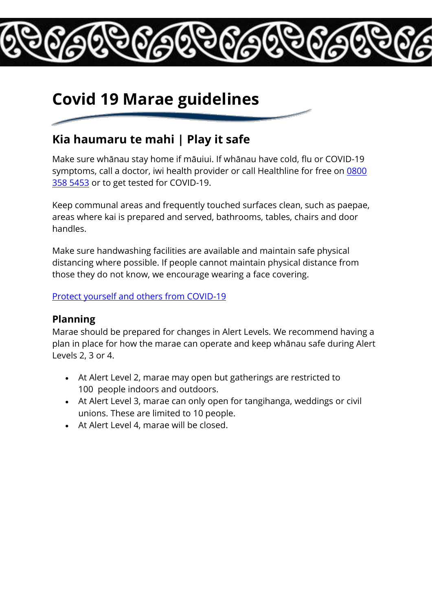# **Covid 19 Marae guidelines**

### **Kia haumaru te mahi | Play it safe**

Make sure whānau stay home if māuiui. If whānau have cold, flu or COVID-19 symptoms, call a doctor, iwi health provider or call Healthline for free on [0800](tel:08003585453)  [358 5453](tel:08003585453) or to get tested for COVID-19.

Keep communal areas and frequently touched surfaces clean, such as paepae, areas where kai is prepared and served, bathrooms, tables, chairs and door handles.

Make sure handwashing facilities are available and maintain safe physical distancing where possible. If people cannot maintain physical distance from those they do not know, we encourage wearing a face covering.

#### [Protect yourself and others from COVID-19](https://covid19.govt.nz/health-and-wellbeing/protect-yourself-and-others-from-covid-19/)

#### **Planning**

Marae should be prepared for changes in Alert Levels. We recommend having a plan in place for how the marae can operate and keep whānau safe during Alert Levels 2, 3 or 4.

- At Alert Level 2, marae may open but gatherings are restricted to 100 people indoors and outdoors.
- At Alert Level 3, marae can only open for tangihanga, weddings or civil unions. These are limited to 10 people.
- At Alert Level 4, marae will be closed.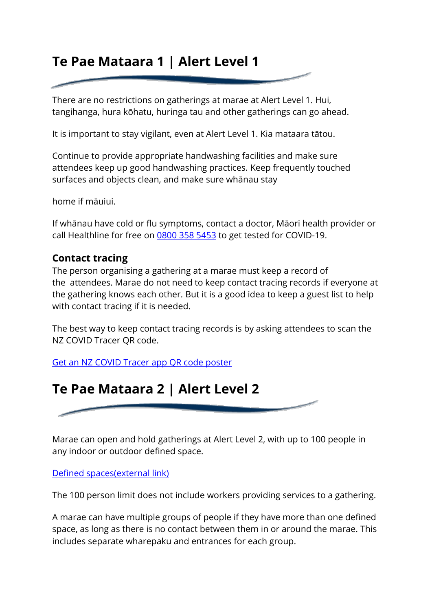## **Te Pae Mataara 1 | Alert Level 1**

There are no restrictions on gatherings at marae at Alert Level 1. Hui, tangihanga, hura kōhatu, huringa tau and other gatherings can go ahead.

It is important to stay vigilant, even at Alert Level 1. Kia mataara tātou.

Continue to provide appropriate handwashing facilities and make sure attendees keep up good handwashing practices. Keep frequently touched surfaces and objects clean, and make sure whānau stay

home if māuiui.

If whānau have cold or flu symptoms, contact a doctor, Māori health provider or call Healthline for free on [0800 358 5453](tel:08003585453) to get tested for COVID-19.

#### **Contact tracing**

The person organising a gathering at a marae must keep a record of the attendees. Marae do not need to keep contact tracing records if everyone at the gathering knows each other. But it is a good idea to keep a guest list to help with contact tracing if it is needed.

The best way to keep contact tracing records is by asking attendees to scan the NZ COVID Tracer QR code.

[Get an NZ COVID Tracer app QR code poster](https://covid19.govt.nz/business-and-money/businesses/get-your-qr-code-poster/)



Marae can open and hold gatherings at Alert Level 2, with up to 100 people in any indoor or outdoor defined space.

[Defined spaces\(external](https://covid19.govt.nz/activities/events-and-entertainment/#defined-spaces) link)

The 100 person limit does not include workers providing services to a gathering.

A marae can have multiple groups of people if they have more than one defined space, as long as there is no contact between them in or around the marae. This includes separate wharepaku and entrances for each group.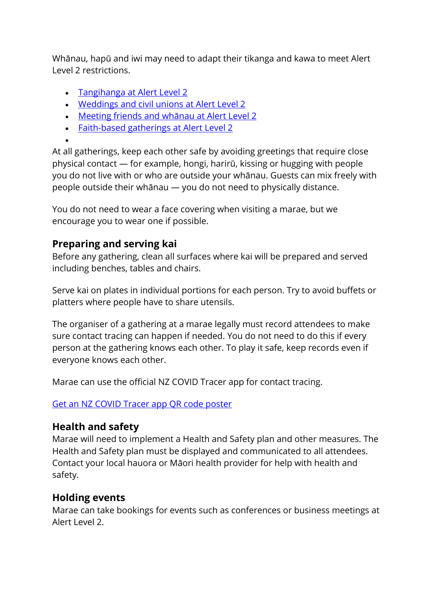Whānau, hapū and iwi may need to adapt their tikanga and kawa to meet Alert Level 2 restrictions.

- [Tangihanga at Alert Level 2](https://covid19.govt.nz/activities/funerals-tangihanga-and-last-rites/)
- [Weddings and civil unions at Alert Level 2](https://covid19.govt.nz/activities/weddings-and-civil-unions/#weddings-and-civil-unions-at-alert-level-2)
- [Meeting friends and whānau at Alert Level 2](https://covid19.govt.nz/activities/meeting-friends-and-whanau/#meeting-friends-and-wh%C4%81nau-at-alert-level-2)
- [Faith-based gatherings at Alert Level 2](https://covid19.govt.nz/activities/faith-based-gatherings/#faith-based-gatherings-at-alert-level-2)
- •

At all gatherings, keep each other safe by avoiding greetings that require close physical contact — for example, hongi, harirū, kissing or hugging with people you do not live with or who are outside your whānau. Guests can mix freely with people outside their whānau — you do not need to physically distance.

You do not need to wear a face covering when visiting a marae, but we encourage you to wear one if possible.

#### **Preparing and serving kai**

Before any gathering, clean all surfaces where kai will be prepared and served including benches, tables and chairs.

Serve kai on plates in individual portions for each person. Try to avoid buffets or platters where people have to share utensils.

The organiser of a gathering at a marae legally must record attendees to make sure contact tracing can happen if needed. You do not need to do this if every person at the gathering knows each other. To play it safe, keep records even if everyone knows each other.

Marae can use the official NZ COVID Tracer app for contact tracing.

#### [Get an NZ COVID Tracer app QR code poster](https://covid19.govt.nz/business-and-money/businesses/get-your-qr-code-poster/)

#### **Health and safety**

Marae will need to implement a Health and Safety plan and other measures. The Health and Safety plan must be displayed and communicated to all attendees. Contact your local hauora or Māori health provider for help with health and safety.

#### **Holding events**

Marae can take bookings for events such as conferences or business meetings at Alert Level 2.